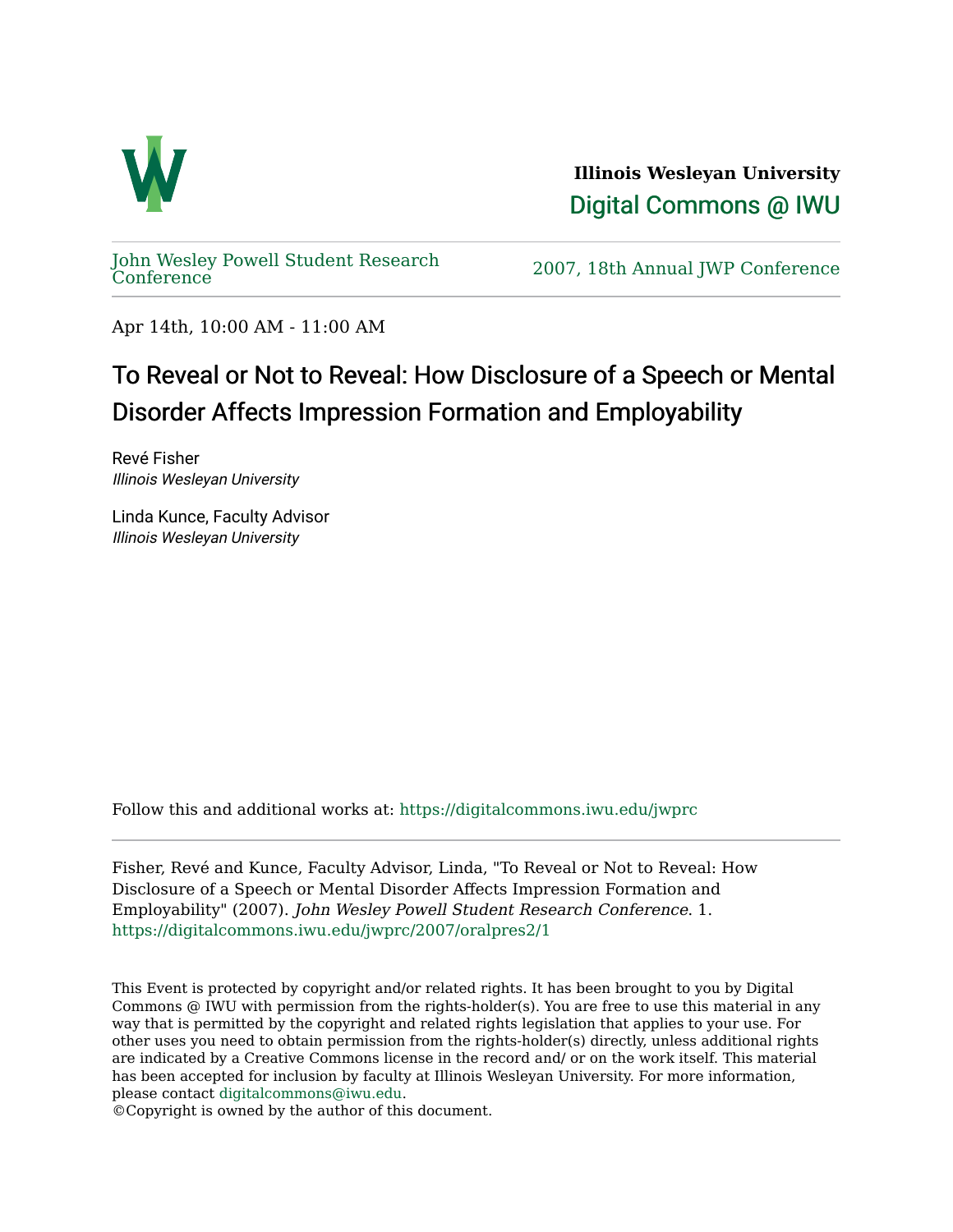

**Illinois Wesleyan University**  [Digital Commons @ IWU](https://digitalcommons.iwu.edu/) 

[John Wesley Powell Student Research](https://digitalcommons.iwu.edu/jwprc) 

2007, 18th Annual JWP [Conference](https://digitalcommons.iwu.edu/jwprc)

Apr 14th, 10:00 AM - 11:00 AM

## To Reveal or Not to Reveal: How Disclosure of a Speech or Mental Disorder Affects Impression Formation and Employability

Revé Fisher Illinois Wesleyan University

Linda Kunce, Faculty Advisor Illinois Wesleyan University

Follow this and additional works at: [https://digitalcommons.iwu.edu/jwprc](https://digitalcommons.iwu.edu/jwprc?utm_source=digitalcommons.iwu.edu%2Fjwprc%2F2007%2Foralpres2%2F1&utm_medium=PDF&utm_campaign=PDFCoverPages) 

Fisher, Revé and Kunce, Faculty Advisor, Linda, "To Reveal or Not to Reveal: How Disclosure of a Speech or Mental Disorder Affects Impression Formation and Employability" (2007). John Wesley Powell Student Research Conference. 1. [https://digitalcommons.iwu.edu/jwprc/2007/oralpres2/1](https://digitalcommons.iwu.edu/jwprc/2007/oralpres2/1?utm_source=digitalcommons.iwu.edu%2Fjwprc%2F2007%2Foralpres2%2F1&utm_medium=PDF&utm_campaign=PDFCoverPages)

This Event is protected by copyright and/or related rights. It has been brought to you by Digital Commons @ IWU with permission from the rights-holder(s). You are free to use this material in any way that is permitted by the copyright and related rights legislation that applies to your use. For other uses you need to obtain permission from the rights-holder(s) directly, unless additional rights are indicated by a Creative Commons license in the record and/ or on the work itself. This material has been accepted for inclusion by faculty at Illinois Wesleyan University. For more information, please contact [digitalcommons@iwu.edu.](mailto:digitalcommons@iwu.edu)

©Copyright is owned by the author of this document.